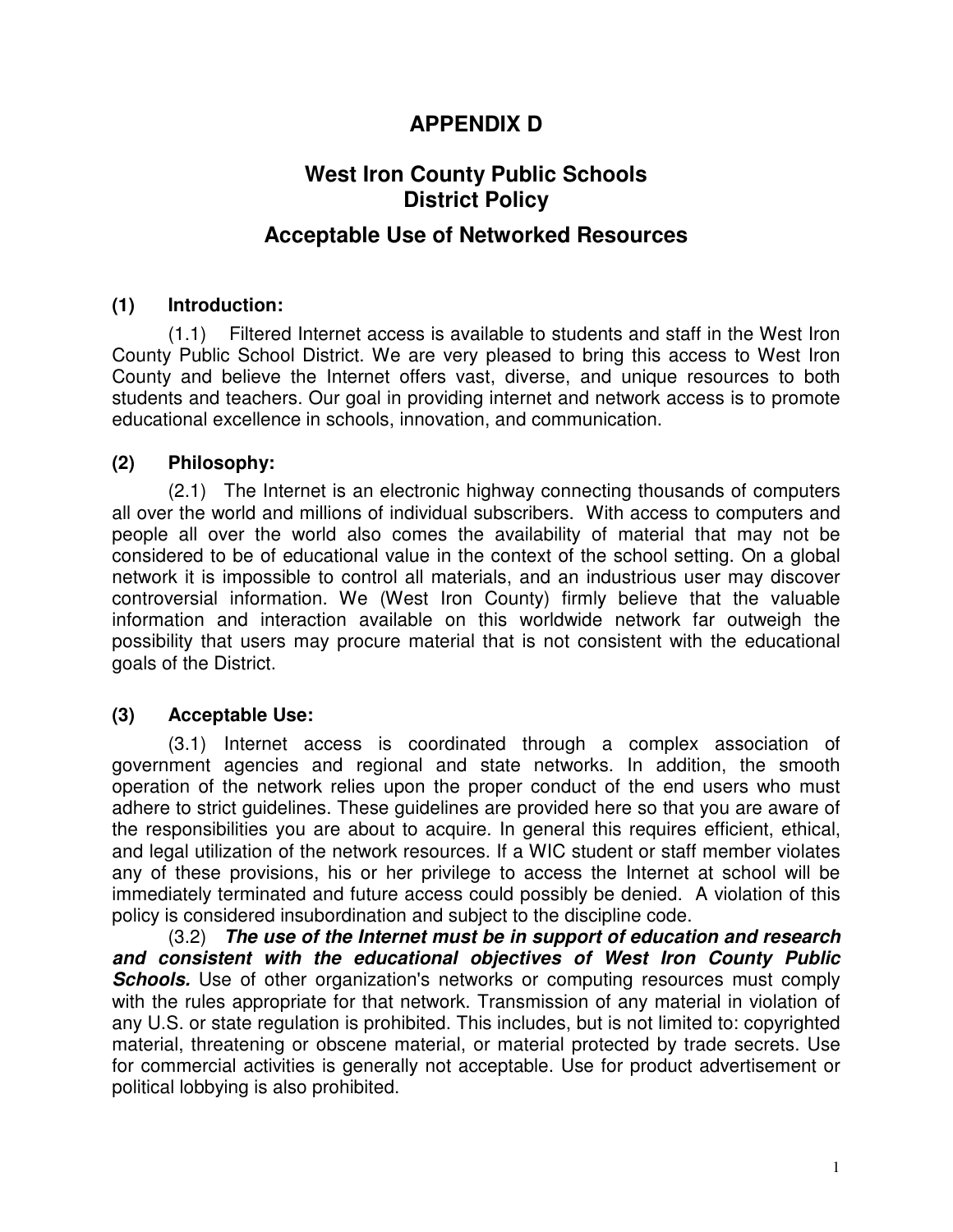## **APPENDIX D**

# **West Iron County Public Schools District Policy**

### **Acceptable Use of Networked Resources**

#### **(1) Introduction:**

(1.1) Filtered Internet access is available to students and staff in the West Iron County Public School District. We are very pleased to bring this access to West Iron County and believe the Internet offers vast, diverse, and unique resources to both students and teachers. Our goal in providing internet and network access is to promote educational excellence in schools, innovation, and communication.

#### **(2) Philosophy:**

(2.1) The Internet is an electronic highway connecting thousands of computers all over the world and millions of individual subscribers. With access to computers and people all over the world also comes the availability of material that may not be considered to be of educational value in the context of the school setting. On a global network it is impossible to control all materials, and an industrious user may discover controversial information. We (West Iron County) firmly believe that the valuable information and interaction available on this worldwide network far outweigh the possibility that users may procure material that is not consistent with the educational goals of the District.

#### **(3) Acceptable Use:**

(3.1) Internet access is coordinated through a complex association of government agencies and regional and state networks. In addition, the smooth operation of the network relies upon the proper conduct of the end users who must adhere to strict guidelines. These guidelines are provided here so that you are aware of the responsibilities you are about to acquire. In general this requires efficient, ethical, and legal utilization of the network resources. If a WIC student or staff member violates any of these provisions, his or her privilege to access the Internet at school will be immediately terminated and future access could possibly be denied. A violation of this policy is considered insubordination and subject to the discipline code.

(3.2) **The use of the Internet must be in support of education and research and consistent with the educational objectives of West Iron County Public Schools.** Use of other organization's networks or computing resources must comply with the rules appropriate for that network. Transmission of any material in violation of any U.S. or state regulation is prohibited. This includes, but is not limited to: copyrighted material, threatening or obscene material, or material protected by trade secrets. Use for commercial activities is generally not acceptable. Use for product advertisement or political lobbying is also prohibited.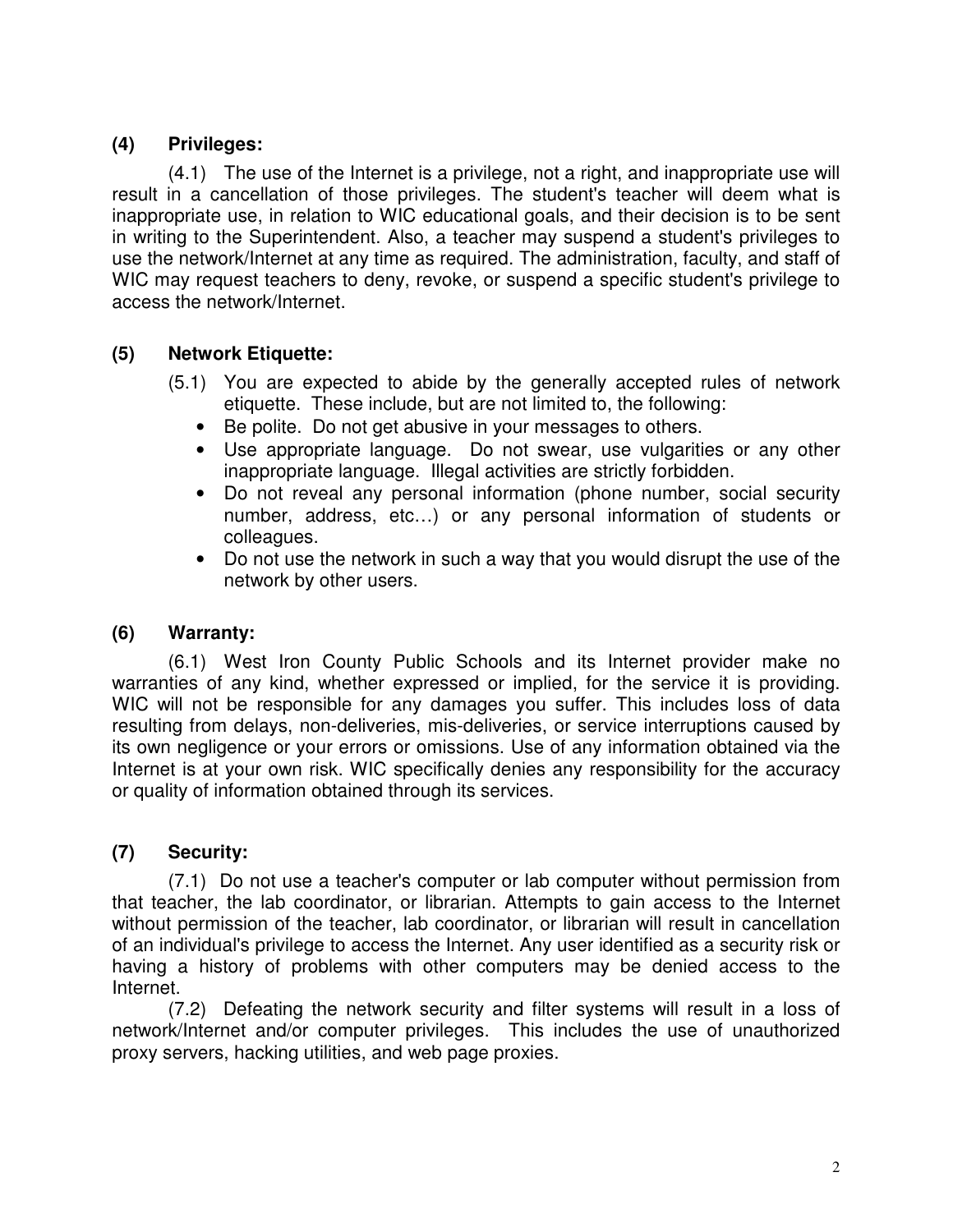#### **(4) Privileges:**

(4.1) The use of the Internet is a privilege, not a right, and inappropriate use will result in a cancellation of those privileges. The student's teacher will deem what is inappropriate use, in relation to WIC educational goals, and their decision is to be sent in writing to the Superintendent. Also, a teacher may suspend a student's privileges to use the network/Internet at any time as required. The administration, faculty, and staff of WIC may request teachers to deny, revoke, or suspend a specific student's privilege to access the network/Internet.

#### **(5) Network Etiquette:**

- (5.1) You are expected to abide by the generally accepted rules of network etiquette. These include, but are not limited to, the following:
	- Be polite. Do not get abusive in your messages to others.
	- Use appropriate language. Do not swear, use vulgarities or any other inappropriate language. Illegal activities are strictly forbidden.
	- Do not reveal any personal information (phone number, social security number, address, etc…) or any personal information of students or colleagues.
	- Do not use the network in such a way that you would disrupt the use of the network by other users.

#### **(6) Warranty:**

(6.1)West Iron County Public Schools and its Internet provider make no warranties of any kind, whether expressed or implied, for the service it is providing. WIC will not be responsible for any damages you suffer. This includes loss of data resulting from delays, non-deliveries, mis-deliveries, or service interruptions caused by its own negligence or your errors or omissions. Use of any information obtained via the Internet is at your own risk. WIC specifically denies any responsibility for the accuracy or quality of information obtained through its services.

#### **(7) Security:**

(7.1) Do not use a teacher's computer or lab computer without permission from that teacher, the lab coordinator, or librarian. Attempts to gain access to the Internet without permission of the teacher, lab coordinator, or librarian will result in cancellation of an individual's privilege to access the Internet. Any user identified as a security risk or having a history of problems with other computers may be denied access to the Internet.

(7.2) Defeating the network security and filter systems will result in a loss of network/Internet and/or computer privileges. This includes the use of unauthorized proxy servers, hacking utilities, and web page proxies.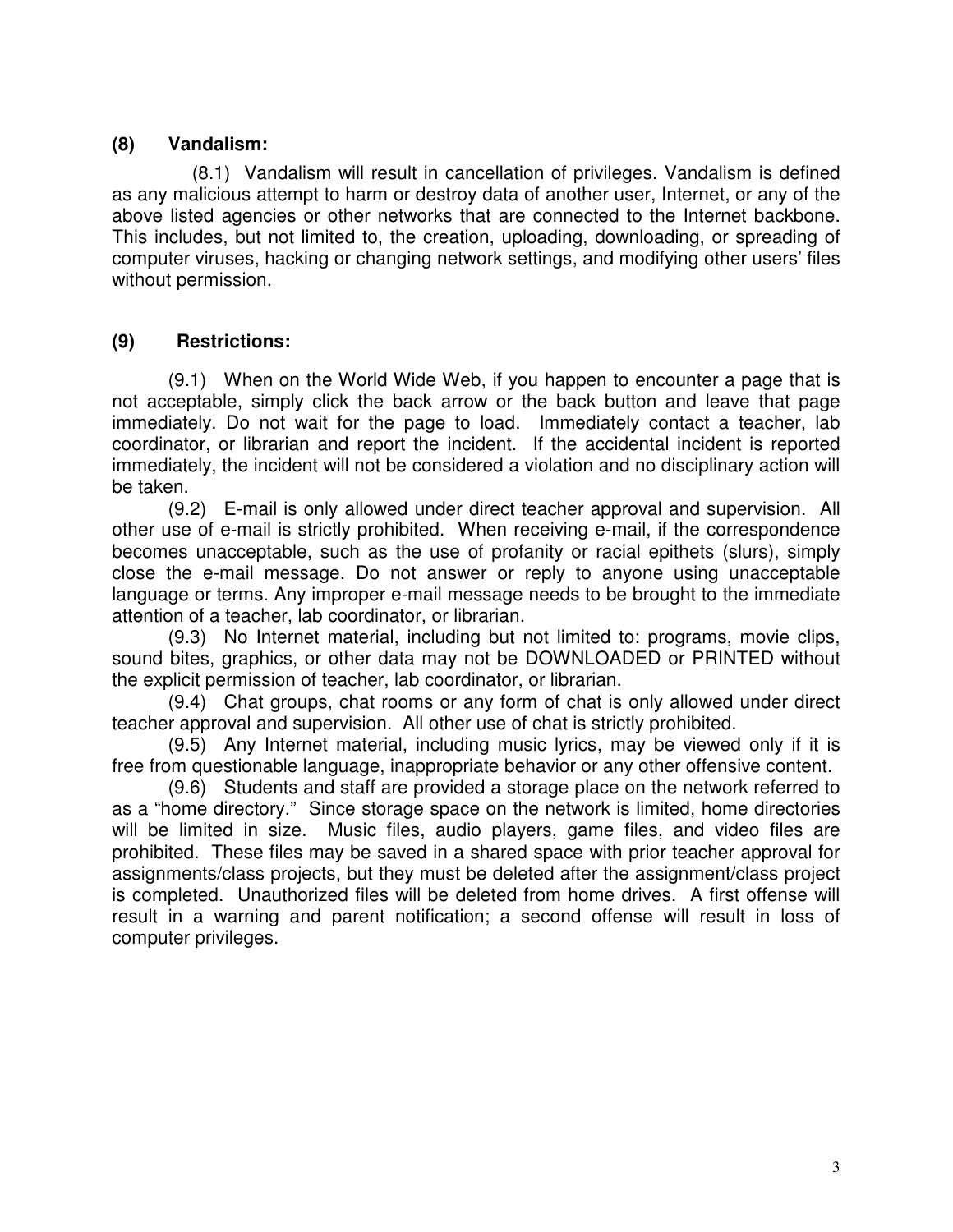#### **(8) Vandalism:**

 (8.1) Vandalism will result in cancellation of privileges. Vandalism is defined as any malicious attempt to harm or destroy data of another user, Internet, or any of the above listed agencies or other networks that are connected to the Internet backbone. This includes, but not limited to, the creation, uploading, downloading, or spreading of computer viruses, hacking or changing network settings, and modifying other users' files without permission.

### **(9) Restrictions:**

(9.1) When on the World Wide Web, if you happen to encounter a page that is not acceptable, simply click the back arrow or the back button and leave that page immediately. Do not wait for the page to load. Immediately contact a teacher, lab coordinator, or librarian and report the incident. If the accidental incident is reported immediately, the incident will not be considered a violation and no disciplinary action will be taken.

(9.2) E-mail is only allowed under direct teacher approval and supervision. All other use of e-mail is strictly prohibited. When receiving e-mail, if the correspondence becomes unacceptable, such as the use of profanity or racial epithets (slurs), simply close the e-mail message. Do not answer or reply to anyone using unacceptable language or terms. Any improper e-mail message needs to be brought to the immediate attention of a teacher, lab coordinator, or librarian.

(9.3) No Internet material, including but not limited to: programs, movie clips, sound bites, graphics, or other data may not be DOWNLOADED or PRINTED without the explicit permission of teacher, lab coordinator, or librarian.

(9.4) Chat groups, chat rooms or any form of chat is only allowed under direct teacher approval and supervision. All other use of chat is strictly prohibited.

(9.5) Any Internet material, including music lyrics, may be viewed only if it is free from questionable language, inappropriate behavior or any other offensive content.

(9.6) Students and staff are provided a storage place on the network referred to as a "home directory." Since storage space on the network is limited, home directories will be limited in size. Music files, audio players, game files, and video files are prohibited. These files may be saved in a shared space with prior teacher approval for assignments/class projects, but they must be deleted after the assignment/class project is completed. Unauthorized files will be deleted from home drives. A first offense will result in a warning and parent notification; a second offense will result in loss of computer privileges.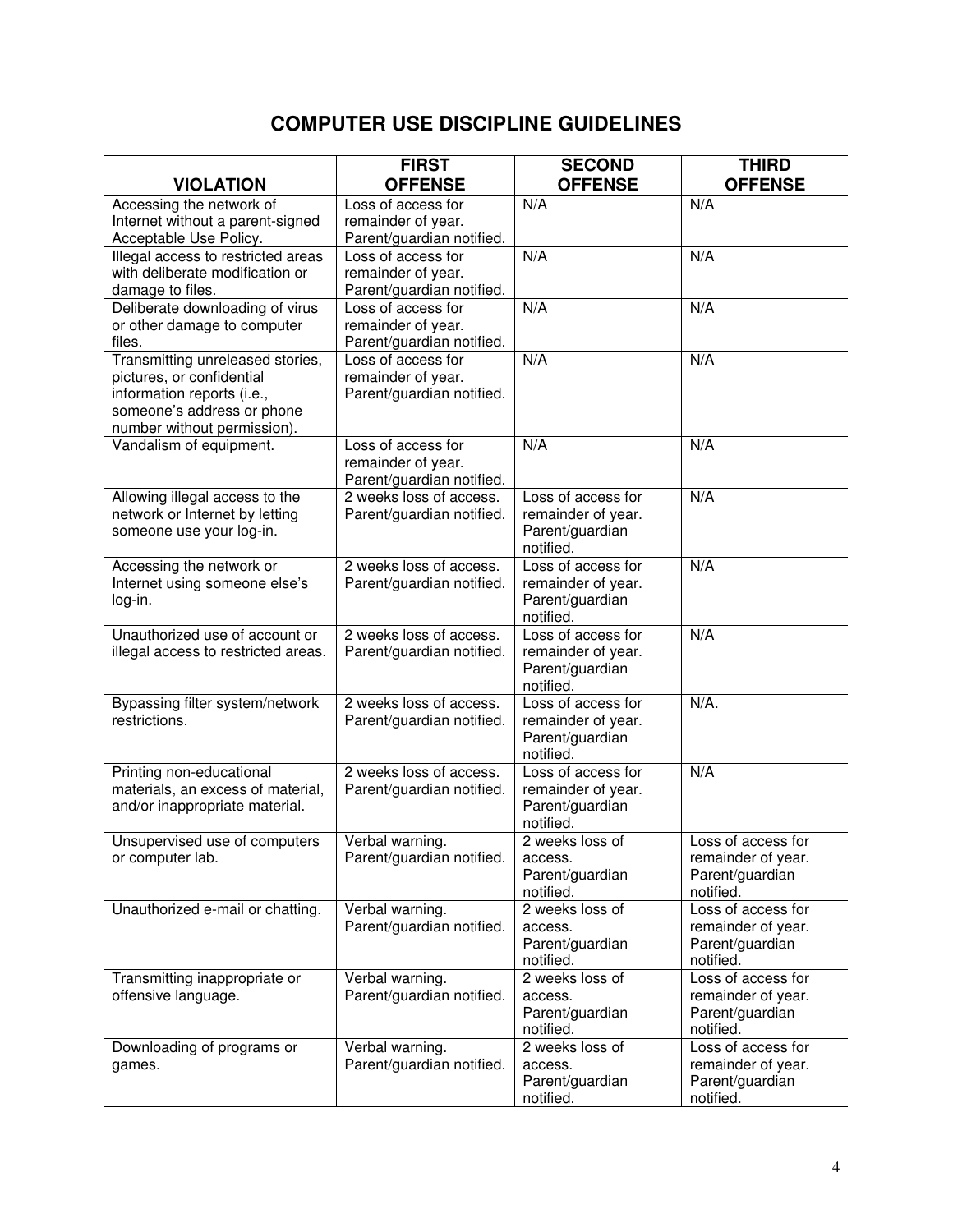## **COMPUTER USE DISCIPLINE GUIDELINES**

|                                                                                                                                                          | <b>FIRST</b>                                                          | <b>SECOND</b>                                                            | <b>THIRD</b>                                                             |
|----------------------------------------------------------------------------------------------------------------------------------------------------------|-----------------------------------------------------------------------|--------------------------------------------------------------------------|--------------------------------------------------------------------------|
| <b>VIOLATION</b>                                                                                                                                         | <b>OFFENSE</b>                                                        | <b>OFFENSE</b>                                                           | <b>OFFENSE</b>                                                           |
| Accessing the network of<br>Internet without a parent-signed<br>Acceptable Use Policy.                                                                   | Loss of access for<br>remainder of year.<br>Parent/guardian notified. | N/A                                                                      | N/A                                                                      |
| Illegal access to restricted areas<br>with deliberate modification or<br>damage to files.                                                                | Loss of access for<br>remainder of year.<br>Parent/guardian notified. | N/A                                                                      | N/A                                                                      |
| Deliberate downloading of virus<br>or other damage to computer<br>files.                                                                                 | Loss of access for<br>remainder of year.<br>Parent/guardian notified. | N/A                                                                      | N/A                                                                      |
| Transmitting unreleased stories,<br>pictures, or confidential<br>information reports (i.e.,<br>someone's address or phone<br>number without permission). | Loss of access for<br>remainder of year.<br>Parent/guardian notified. | N/A                                                                      | N/A                                                                      |
| Vandalism of equipment.                                                                                                                                  | Loss of access for<br>remainder of year.<br>Parent/guardian notified. | N/A                                                                      | N/A                                                                      |
| Allowing illegal access to the<br>network or Internet by letting<br>someone use your log-in.                                                             | 2 weeks loss of access.<br>Parent/guardian notified.                  | Loss of access for<br>remainder of year.<br>Parent/guardian<br>notified. | N/A                                                                      |
| Accessing the network or<br>Internet using someone else's<br>log-in.                                                                                     | 2 weeks loss of access.<br>Parent/guardian notified.                  | Loss of access for<br>remainder of year.<br>Parent/guardian<br>notified. | N/A                                                                      |
| Unauthorized use of account or<br>illegal access to restricted areas.                                                                                    | 2 weeks loss of access.<br>Parent/guardian notified.                  | Loss of access for<br>remainder of year.<br>Parent/guardian<br>notified. | N/A                                                                      |
| Bypassing filter system/network<br>restrictions.                                                                                                         | 2 weeks loss of access.<br>Parent/guardian notified.                  | Loss of access for<br>remainder of year.<br>Parent/guardian<br>notified. | $N/A$ .                                                                  |
| Printing non-educational<br>materials, an excess of material,<br>and/or inappropriate material.                                                          | 2 weeks loss of access.<br>Parent/guardian notified.                  | Loss of access for<br>remainder of year.<br>Parent/guardian<br>notified. | N/A                                                                      |
| Unsupervised use of computers<br>or computer lab.                                                                                                        | Verbal warning.<br>Parent/guardian notified.                          | 2 weeks loss of<br>access.<br>Parent/guardian<br>notified.               | Loss of access for<br>remainder of year.<br>Parent/guardian<br>notified. |
| Unauthorized e-mail or chatting.                                                                                                                         | Verbal warning.<br>Parent/guardian notified.                          | 2 weeks loss of<br>access.<br>Parent/guardian<br>notified.               | Loss of access for<br>remainder of year.<br>Parent/guardian<br>notified. |
| Transmitting inappropriate or<br>offensive language.                                                                                                     | Verbal warning.<br>Parent/guardian notified.                          | 2 weeks loss of<br>access.<br>Parent/guardian<br>notified.               | Loss of access for<br>remainder of year.<br>Parent/guardian<br>notified. |
| Downloading of programs or<br>games.                                                                                                                     | Verbal warning.<br>Parent/guardian notified.                          | 2 weeks loss of<br>access.<br>Parent/guardian<br>notified.               | Loss of access for<br>remainder of year.<br>Parent/guardian<br>notified. |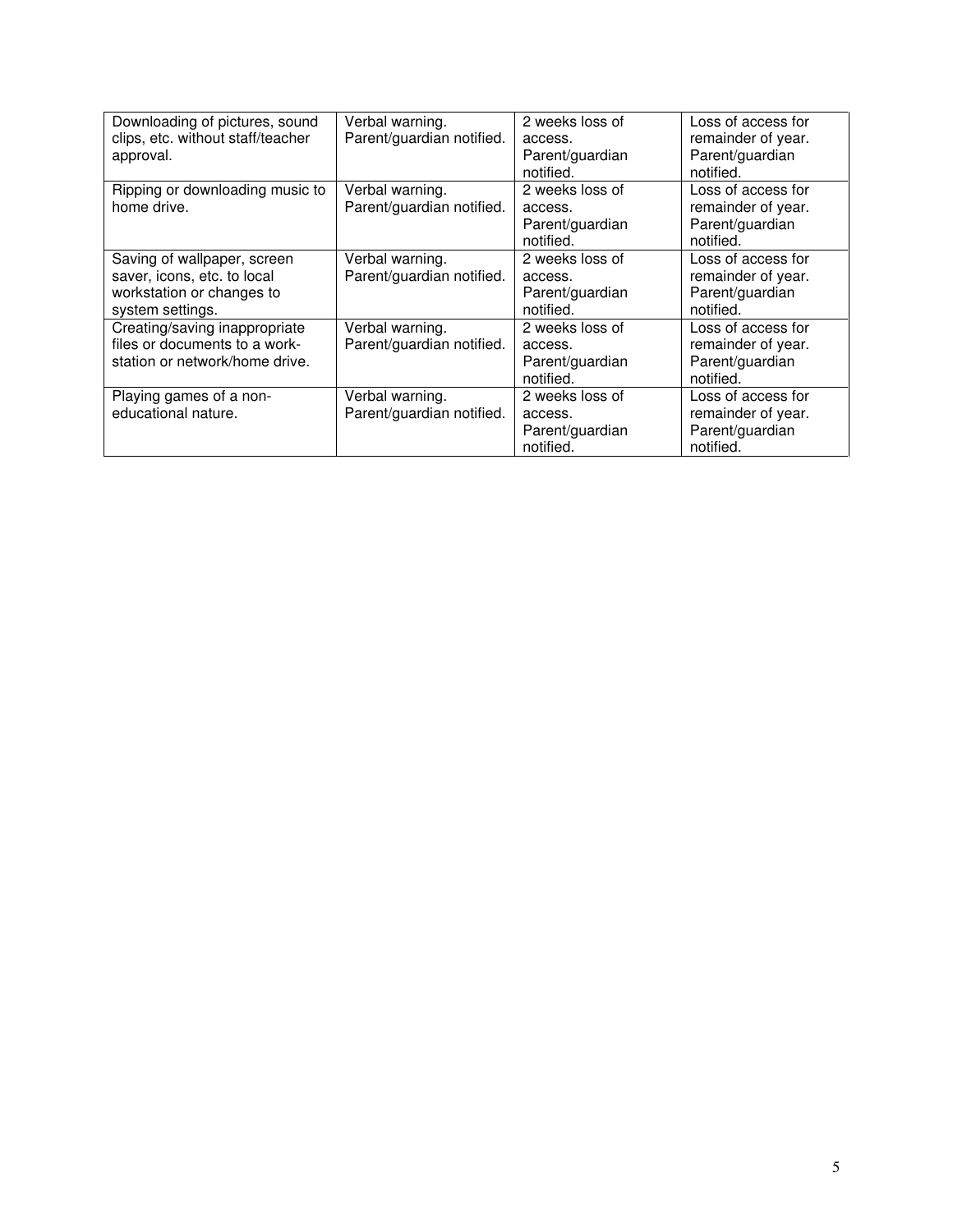| Downloading of pictures, sound<br>clips, etc. without staff/teacher<br>approval.                            | Verbal warning.<br>Parent/guardian notified. | 2 weeks loss of<br>access.<br>Parent/guardian<br>notified. | Loss of access for<br>remainder of year.<br>Parent/guardian<br>notified. |
|-------------------------------------------------------------------------------------------------------------|----------------------------------------------|------------------------------------------------------------|--------------------------------------------------------------------------|
| Ripping or downloading music to<br>home drive.                                                              | Verbal warning.<br>Parent/guardian notified. | 2 weeks loss of<br>access.<br>Parent/guardian<br>notified. | Loss of access for<br>remainder of year.<br>Parent/guardian<br>notified. |
| Saving of wallpaper, screen<br>saver, icons, etc. to local<br>workstation or changes to<br>system settings. | Verbal warning.<br>Parent/guardian notified. | 2 weeks loss of<br>access.<br>Parent/guardian<br>notified. | Loss of access for<br>remainder of year.<br>Parent/guardian<br>notified. |
| Creating/saving inappropriate<br>files or documents to a work-<br>station or network/home drive.            | Verbal warning.<br>Parent/guardian notified. | 2 weeks loss of<br>access.<br>Parent/guardian<br>notified. | Loss of access for<br>remainder of year.<br>Parent/guardian<br>notified. |
| Playing games of a non-<br>educational nature.                                                              | Verbal warning.<br>Parent/guardian notified. | 2 weeks loss of<br>access.<br>Parent/guardian<br>notified. | Loss of access for<br>remainder of year.<br>Parent/guardian<br>notified. |